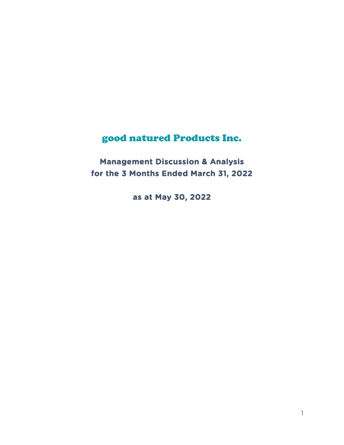# good natured Products Inc.

**Management Discussion & Analysis for the 3 Months Ended March 31, 2022** 

**as at May 30, 2022**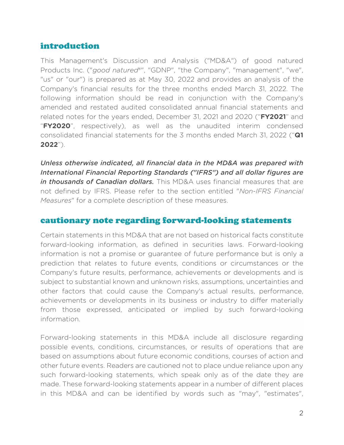## introduction

This Management's Discussion and Analysis ("MD&A") of good natured Products Inc. ("*good natured*®", "GDNP", "the Company", "management", "we", "us" or "our") is prepared as at May 30, 2022 and provides an analysis of the Company's financial results for the three months ended March 31, 2022. The following information should be read in conjunction with the Company's amended and restated audited consolidated annual financial statements and related notes for the years ended, December 31, 2021 and 2020 ("**FY2021**" and "**FY2020**", respectively), as well as the unaudited interim condensed consolidated financial statements for the 3 months ended March 31, 2022 ("**Q1 2022**").

*Unless otherwise indicated, all financial data in the MD&A was prepared with International Financial Reporting Standards ("IFRS") and all dollar figures are in thousands of Canadian dollars.* This MD&A uses financial measures that are not defined by IFRS. Please refer to the section entitled "*Non-IFRS Financial Measures*" for a complete description of these measures.

#### cautionary note regarding forward-looking statements

Certain statements in this MD&A that are not based on historical facts constitute forward-looking information, as defined in securities laws. Forward-looking information is not a promise or guarantee of future performance but is only a prediction that relates to future events, conditions or circumstances or the Company's future results, performance, achievements or developments and is subject to substantial known and unknown risks, assumptions, uncertainties and other factors that could cause the Company's actual results, performance, achievements or developments in its business or industry to differ materially from those expressed, anticipated or implied by such forward-looking information.

Forward-looking statements in this MD&A include all disclosure regarding possible events, conditions, circumstances, or results of operations that are based on assumptions about future economic conditions, courses of action and other future events. Readers are cautioned not to place undue reliance upon any such forward-looking statements, which speak only as of the date they are made. These forward-looking statements appear in a number of different places in this MD&A and can be identified by words such as "may", "estimates",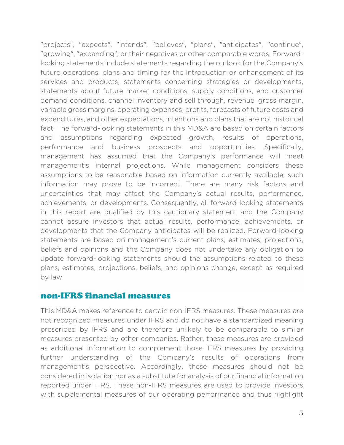"projects", "expects", "intends", "believes", "plans", "anticipates", "continue", "growing", "expanding", or their negatives or other comparable words. Forwardlooking statements include statements regarding the outlook for the Company's future operations, plans and timing for the introduction or enhancement of its services and products, statements concerning strategies or developments, statements about future market conditions, supply conditions, end customer demand conditions, channel inventory and sell through, revenue, gross margin, variable gross margins, operating expenses, profits, forecasts of future costs and expenditures, and other expectations, intentions and plans that are not historical fact. The forward-looking statements in this MD&A are based on certain factors and assumptions regarding expected growth, results of operations, performance and business prospects and opportunities. Specifically, management has assumed that the Company's performance will meet management's internal projections. While management considers these assumptions to be reasonable based on information currently available, such information may prove to be incorrect. There are many risk factors and uncertainties that may affect the Company's actual results, performance, achievements, or developments. Consequently, all forward-looking statements in this report are qualified by this cautionary statement and the Company cannot assure investors that actual results, performance, achievements, or developments that the Company anticipates will be realized. Forward-looking statements are based on management's current plans, estimates, projections, beliefs and opinions and the Company does not undertake any obligation to update forward-looking statements should the assumptions related to these plans, estimates, projections, beliefs, and opinions change, except as required by law.

#### non-IFRS financial measures

This MD&A makes reference to certain non-IFRS measures. These measures are not recognized measures under IFRS and do not have a standardized meaning prescribed by IFRS and are therefore unlikely to be comparable to similar measures presented by other companies. Rather, these measures are provided as additional information to complement those IFRS measures by providing further understanding of the Company's results of operations from management's perspective. Accordingly, these measures should not be considered in isolation nor as a substitute for analysis of our financial information reported under IFRS. These non-IFRS measures are used to provide investors with supplemental measures of our operating performance and thus highlight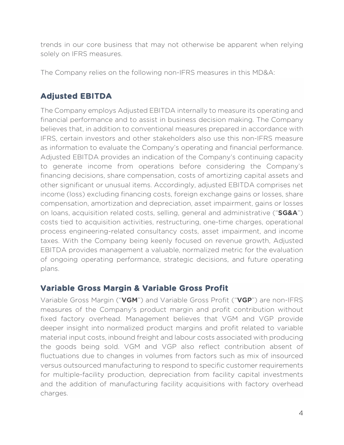trends in our core business that may not otherwise be apparent when relying solely on IFRS measures.

The Company relies on the following non-IFRS measures in this MD&A:

# **Adjusted EBITDA**

The Company employs Adjusted EBITDA internally to measure its operating and financial performance and to assist in business decision making. The Company believes that, in addition to conventional measures prepared in accordance with IFRS, certain investors and other stakeholders also use this non-IFRS measure as information to evaluate the Company's operating and financial performance. Adjusted EBITDA provides an indication of the Company's continuing capacity to generate income from operations before considering the Company's financing decisions, share compensation, costs of amortizing capital assets and other significant or unusual items. Accordingly, adjusted EBITDA comprises net income (loss) excluding financing costs, foreign exchange gains or losses, share compensation, amortization and depreciation, asset impairment, gains or losses on loans, acquisition related costs, selling, general and administrative ("**SG&A**") costs tied to acquisition activities, restructuring, one-time charges, operational process engineering-related consultancy costs, asset impairment, and income taxes. With the Company being keenly focused on revenue growth, Adjusted EBITDA provides management a valuable, normalized metric for the evaluation of ongoing operating performance, strategic decisions, and future operating plans.

## **Variable Gross Margin & Variable Gross Profit**

Variable Gross Margin ("**VGM**") and Variable Gross Profit ("**VGP**") are non-IFRS measures of the Company's product margin and profit contribution without fixed factory overhead. Management believes that VGM and VGP provide deeper insight into normalized product margins and profit related to variable material input costs, inbound freight and labour costs associated with producing the goods being sold. VGM and VGP also reflect contribution absent of fluctuations due to changes in volumes from factors such as mix of insourced versus outsourced manufacturing to respond to specific customer requirements for multiple-facility production, depreciation from facility capital investments and the addition of manufacturing facility acquisitions with factory overhead charges.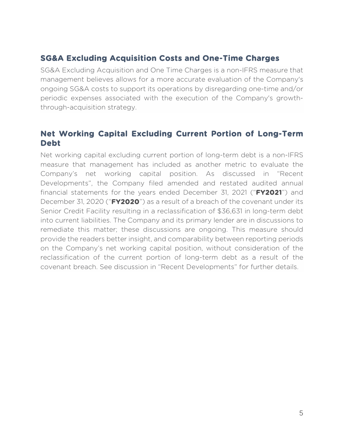## **SG&A Excluding Acquisition Costs and One-Time Charges**

SG&A Excluding Acquisition and One Time Charges is a non-IFRS measure that management believes allows for a more accurate evaluation of the Company's ongoing SG&A costs to support its operations by disregarding one-time and/or periodic expenses associated with the execution of the Company's growththrough-acquisition strategy.

#### **Net Working Capital Excluding Current Portion of Long-Term Debt**

Net working capital excluding current portion of long-term debt is a non-IFRS measure that management has included as another metric to evaluate the Company's net working capital position. As discussed in "Recent Developments", the Company filed amended and restated audited annual financial statements for the years ended December 31, 2021 ("**FY2021**") and December 31, 2020 ("**FY2020**") as a result of a breach of the covenant under its Senior Credit Facility resulting in a reclassification of \$36,631 in long-term debt into current liabilities. The Company and its primary lender are in discussions to remediate this matter; these discussions are ongoing. This measure should provide the readers better insight, and comparability between reporting periods on the Company's net working capital position, without consideration of the reclassification of the current portion of long-term debt as a result of the covenant breach. See discussion in "Recent Developments" for further details.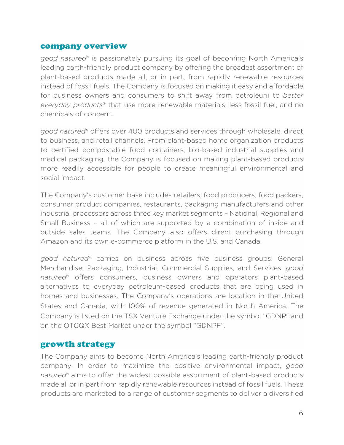#### company overview

*good natured*® is passionately pursuing its goal of becoming North America's leading earth-friendly product company by offering the broadest assortment of plant-based products made all, or in part, from rapidly renewable resources instead of fossil fuels. The Company is focused on making it easy and affordable for business owners and consumers to shift away from petroleum to *better everyday products*® that use more renewable materials, less fossil fuel, and no chemicals of concern.

*good natured*® offers over 400 products and services through wholesale, direct to business, and retail channels. From plant-based home organization products to certified compostable food containers, bio-based industrial supplies and medical packaging, the Company is focused on making plant-based products more readily accessible for people to create meaningful environmental and social impact.

The Company's customer base includes retailers, food producers, food packers, consumer product companies, restaurants, packaging manufacturers and other industrial processors across three key market segments – National, Regional and Small Business – all of which are supported by a combination of inside and outside sales teams. The Company also offers direct purchasing through Amazon and its own e-commerce platform in the U.S. and Canada.

*good natured*® carries on business across five business groups: General Merchandise, Packaging, Industrial, Commercial Supplies, and Services. *good natured*® offers consumers, business owners and operators plant-based alternatives to everyday petroleum-based products that are being used in homes and businesses. The Company's operations are location in the United States and Canada, with 100% of revenue generated in North America. The Company is listed on the TSX Venture Exchange under the symbol "GDNP" and on the OTCQX Best Market under the symbol "GDNPF".

#### growth strategy

The Company aims to become North America's leading earth-friendly product company. In order to maximize the positive environmental impact, *good natured*® aims to offer the widest possible assortment of plant-based products made all or in part from rapidly renewable resources instead of fossil fuels. These products are marketed to a range of customer segments to deliver a diversified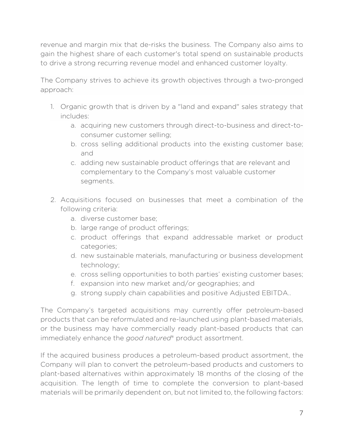revenue and margin mix that de-risks the business. The Company also aims to gain the highest share of each customer's total spend on sustainable products to drive a strong recurring revenue model and enhanced customer loyalty.

The Company strives to achieve its growth objectives through a two-pronged approach:

- 1. Organic growth that is driven by a "land and expand" sales strategy that includes:
	- a. acquiring new customers through direct-to-business and direct-toconsumer customer selling;
	- b. cross selling additional products into the existing customer base; and
	- c. adding new sustainable product offerings that are relevant and complementary to the Company's most valuable customer segments.
- 2. Acquisitions focused on businesses that meet a combination of the following criteria:
	- a. diverse customer base;
	- b. large range of product offerings;
	- c. product offerings that expand addressable market or product categories;
	- d. new sustainable materials, manufacturing or business development technology;
	- e. cross selling opportunities to both parties' existing customer bases;
	- f. expansion into new market and/or geographies; and
	- g. strong supply chain capabilities and positive Adjusted EBITDA..

The Company's targeted acquisitions may currently offer petroleum-based products that can be reformulated and re-launched using plant-based materials, or the business may have commercially ready plant-based products that can immediately enhance the *good natured*® product assortment.

If the acquired business produces a petroleum-based product assortment, the Company will plan to convert the petroleum-based products and customers to plant-based alternatives within approximately 18 months of the closing of the acquisition. The length of time to complete the conversion to plant-based materials will be primarily dependent on, but not limited to, the following factors: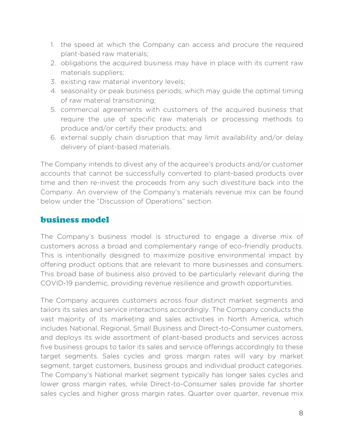- 1. the speed at which the Company can access and procure the required plant-based raw materials;
- 2. obligations the acquired business may have in place with its current raw materials suppliers;
- 3. existing raw material inventory levels;
- 4. seasonality or peak business periods, which may guide the optimal timing of raw material transitioning;
- 5. commercial agreements with customers of the acquired business that require the use of specific raw materials or processing methods to produce and/or certify their products; and
- 6. external supply chain disruption that may limit availability and/or delay delivery of plant-based materials.

The Company intends to divest any of the acquiree's products and/or customer accounts that cannot be successfully converted to plant-based products over time and then re-invest the proceeds from any such divestiture back into the Company. An overview of the Company's materials revenue mix can be found below under the "Discussion of Operations" section.

#### business model

The Company's business model is structured to engage a diverse mix of customers across a broad and complementary range of eco-friendly products. This is intentionally designed to maximize positive environmental impact by offering product options that are relevant to more businesses and consumers. This broad base of business also proved to be particularly relevant during the COVID-19 pandemic, providing revenue resilience and growth opportunities.

The Company acquires customers across four distinct market segments and tailors its sales and service interactions accordingly. The Company conducts the vast majority of its marketing and sales activities in North America, which includes National, Regional, Small Business and Direct-to-Consumer customers, and deploys its wide assortment of plant-based products and services across five business groups to tailor its sales and service offerings accordingly to these target segments. Sales cycles and gross margin rates will vary by market segment, target customers, business groups and individual product categories. The Company's National market segment typically has longer sales cycles and lower gross margin rates, while Direct-to-Consumer sales provide far shorter sales cycles and higher gross margin rates. Quarter over quarter, revenue mix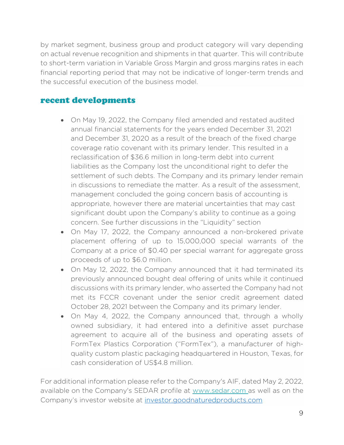by market segment, business group and product category will vary depending on actual revenue recognition and shipments in that quarter. This will contribute to short-term variation in Variable Gross Margin and gross margins rates in each financial reporting period that may not be indicative of longer-term trends and the successful execution of the business model.

### recent developments

- On May 19, 2022, the Company filed amended and restated audited annual financial statements for the years ended December 31, 2021 and December 31, 2020 as a result of the breach of the fixed charge coverage ratio covenant with its primary lender. This resulted in a reclassification of \$36.6 million in long-term debt into current liabilities as the Company lost the unconditional right to defer the settlement of such debts. The Company and its primary lender remain in discussions to remediate the matter. As a result of the assessment, management concluded the going concern basis of accounting is appropriate, however there are material uncertainties that may cast significant doubt upon the Company's ability to continue as a going concern. See further discussions in the "Liquidity" section
- On May 17, 2022, the Company announced a non-brokered private placement offering of up to 15,000,000 special warrants of the Company at a price of \$0.40 per special warrant for aggregate gross proceeds of up to \$6.0 million.
- On May 12, 2022, the Company announced that it had terminated its previously announced bought deal offering of units while it continued discussions with its primary lender, who asserted the Company had not met its FCCR covenant under the senior credit agreement dated October 28, 2021 between the Company and its primary lender.
- On May 4, 2022, the Company announced that, through a wholly owned subsidiary, it had entered into a definitive asset purchase agreement to acquire all of the business and operating assets of FormTex Plastics Corporation ("FormTex"), a manufacturer of highquality custom plastic packaging headquartered in Houston, Texas, for cash consideration of US\$4.8 million.

For additional information please refer to the Company's AIF, dated May 2, 2022, available on the Company's SEDAR profile at www.sedar.com as well as on the Company's investor website at investor.goodnaturedproducts.com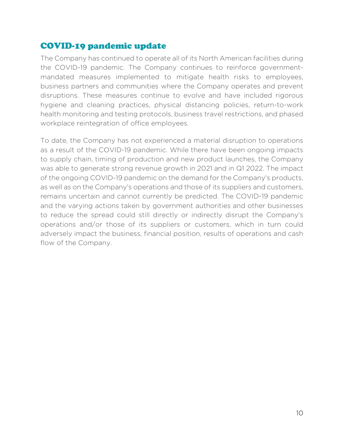# COVID-19 pandemic update

The Company has continued to operate all of its North American facilities during the COVID-19 pandemic. The Company continues to reinforce governmentmandated measures implemented to mitigate health risks to employees, business partners and communities where the Company operates and prevent disruptions. These measures continue to evolve and have included rigorous hygiene and cleaning practices, physical distancing policies, return-to-work health monitoring and testing protocols, business travel restrictions, and phased workplace reintegration of office employees.

To date, the Company has not experienced a material disruption to operations as a result of the COVID-19 pandemic. While there have been ongoing impacts to supply chain, timing of production and new product launches, the Company was able to generate strong revenue growth in 2021 and in Q1 2022. The impact of the ongoing COVID-19 pandemic on the demand for the Company's products, as well as on the Company's operations and those of its suppliers and customers, remains uncertain and cannot currently be predicted. The COVID-19 pandemic and the varying actions taken by government authorities and other businesses to reduce the spread could still directly or indirectly disrupt the Company's operations and/or those of its suppliers or customers, which in turn could adversely impact the business, financial position, results of operations and cash flow of the Company.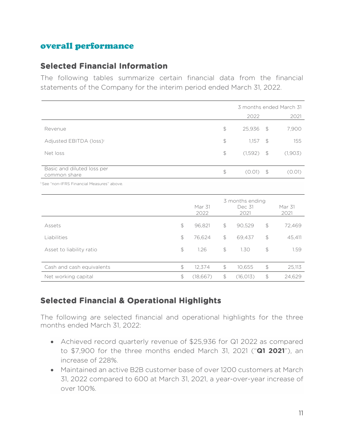## overall performance

## **Selected Financial Information**

The following tables summarize certain financial data from the financial statements of the Company for the interim period ended March 31, 2022.

|                                            |                | 3 months ended March 31 |               |         |  |
|--------------------------------------------|----------------|-------------------------|---------------|---------|--|
|                                            |                | 2022                    |               | 2021    |  |
| Revenue                                    | $\mathfrak{S}$ | $25,936$ \$             |               | 7,900   |  |
| Adjusted EBITDA (loss) <sup>1</sup>        | $\mathfrak{S}$ | 1.157                   | $\mathcal{F}$ | 155     |  |
| Net loss                                   | $\mathfrak{D}$ | (1,592)                 | $\mathcal{S}$ | (1,903) |  |
| Basic and diluted loss per<br>common share | \$             | $(0.01)$ \$             |               | (0.01)  |  |
| See "non-IFRS Financial Measures" above.   |                |                         |               |         |  |

|                           | Mar 31<br>2022 |                | 3 months ending<br>Dec 31<br>2021 |                | Mar 31<br>2021 |
|---------------------------|----------------|----------------|-----------------------------------|----------------|----------------|
| Assets                    | \$<br>96,821   | $\mathfrak{D}$ | 90,529                            | $\mathfrak{S}$ | 72,469         |
| Liabilities               | \$<br>76,624   | \$             | 69,437                            | \$             | 45,411         |
| Asset to liability ratio  | \$<br>1.26     | $\mathfrak{D}$ | 1.30                              | $\mathcal{L}$  | 1.59           |
| Cash and cash equivalents | \$<br>12.374   | $\mathfrak{D}$ | 10,655                            | $\mathcal{L}$  | 25,113         |
| Net working capital       | \$<br>(18,667) | \$             | (16, 013)                         | \$             | 24.629         |

## **Selected Financial & Operational Highlights**

The following are selected financial and operational highlights for the three months ended March 31, 2022:

- Achieved record quarterly revenue of \$25,936 for Q1 2022 as compared to \$7,900 for the three months ended March 31, 2021 ("**Q1 2021**"), an increase of 228%.
- Maintained an active B2B customer base of over 1200 customers at March 31, 2022 compared to 600 at March 31, 2021, a year-over-year increase of over 100%.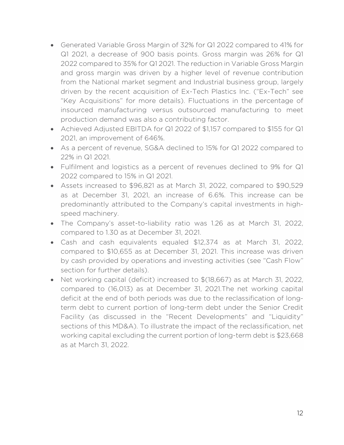- Generated Variable Gross Margin of 32% for Q1 2022 compared to 41% for Q1 2021, a decrease of 900 basis points. Gross margin was 26% for Q1 2022 compared to 35% for Q1 2021. The reduction in Variable Gross Margin and gross margin was driven by a higher level of revenue contribution from the National market segment and Industrial business group, largely driven by the recent acquisition of Ex-Tech Plastics Inc. ("Ex-Tech" see "Key Acquisitions" for more details). Fluctuations in the percentage of insourced manufacturing versus outsourced manufacturing to meet production demand was also a contributing factor.
- Achieved Adjusted EBITDA for Q1 2022 of \$1,157 compared to \$155 for Q1 2021, an improvement of 646%.
- As a percent of revenue, SG&A declined to 15% for Q1 2022 compared to 22% in Q1 2021.
- Fulfilment and logistics as a percent of revenues declined to 9% for Q1 2022 compared to 15% in Q1 2021.
- Assets increased to \$96,821 as at March 31, 2022, compared to \$90,529 as at December 31, 2021, an increase of 6.6%. This increase can be predominantly attributed to the Company's capital investments in highspeed machinery.
- The Company's asset-to-liability ratio was 1.26 as at March 31, 2022, compared to 1.30 as at December 31, 2021.
- Cash and cash equivalents equaled \$12,374 as at March 31, 2022, compared to \$10,655 as at December 31, 2021. This increase was driven by cash provided by operations and investing activities (see "Cash Flow" section for further details).
- Net working capital (deficit) increased to \$(18,667) as at March 31, 2022, compared to (16,013) as at December 31, 2021.The net working capital deficit at the end of both periods was due to the reclassification of longterm debt to current portion of long-term debt under the Senior Credit Facility (as discussed in the "Recent Developments" and "Liquidity" sections of this MD&A). To illustrate the impact of the reclassification, net working capital excluding the current portion of long-term debt is \$23,668 as at March 31, 2022.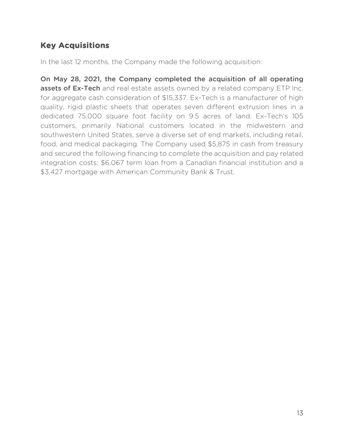# **Key Acquisitions**

In the last 12 months, the Company made the following acquisition:

On May 28, 2021, the Company completed the acquisition of all operating assets of Ex-Tech and real estate assets owned by a related company ETP Inc. for aggregate cash consideration of \$15,337. Ex-Tech is a manufacturer of high quality, rigid plastic sheets that operates seven different extrusion lines in a dedicated 75,000 square foot facility on 9.5 acres of land. Ex-Tech's 105 customers, primarily National customers located in the midwestern and southwestern United States, serve a diverse set of end markets, including retail, food, and medical packaging. The Company used \$5,875 in cash from treasury and secured the following financing to complete the acquisition and pay related integration costs: \$6,067 term loan from a Canadian financial institution and a \$3,427 mortgage with American Community Bank & Trust.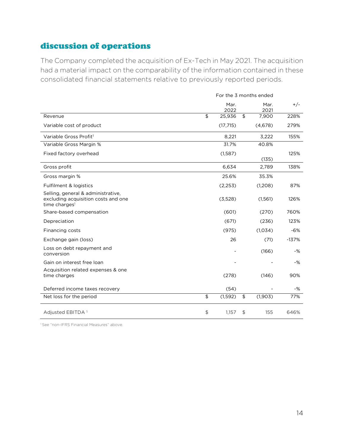# discussion of operations

The Company completed the acquisition of Ex-Tech in May 2021. The acquisition had a material impact on the comparability of the information contained in these consolidated financial statements relative to previously reported periods.

|                                                                                                        |                    |              |                           | For the 3 months ended |         |
|--------------------------------------------------------------------------------------------------------|--------------------|--------------|---------------------------|------------------------|---------|
|                                                                                                        |                    | Mar.<br>2022 |                           | Mar.<br>2021           | $+/-$   |
| Revenue                                                                                                | $\mathbf{\hat{z}}$ | 25,936       | $\overline{\mathfrak{s}}$ | 7,900                  | 228%    |
| Variable cost of product                                                                               |                    | (17, 715)    |                           | (4,678)                | 279%    |
| Variable Gross Profit <sup>1</sup>                                                                     |                    | 8,221        |                           | 3,222                  | 155%    |
| Variable Gross Margin %                                                                                |                    | 31.7%        |                           | 40.8%                  |         |
| Fixed factory overhead                                                                                 |                    | (1,587)      |                           | (135)                  | 125%    |
| Gross profit                                                                                           |                    | 6,634        |                           | 2,789                  | 138%    |
| Gross margin %                                                                                         |                    | 25.6%        |                           | 35.3%                  |         |
| Fulfilment & logistics                                                                                 |                    | (2,253)      |                           | (1,208)                | 87%     |
| Selling, general & administrative,<br>excluding acquisition costs and one<br>time charges <sup>1</sup> |                    | (3,528)      |                           | (1,561)                | 126%    |
| Share-based compensation                                                                               |                    | (601)        |                           | (270)                  | 760%    |
| Depreciation                                                                                           |                    | (671)        |                           | (236)                  | 123%    |
| Financing costs                                                                                        |                    | (975)        |                           | (1,034)                | $-6%$   |
| Exchange gain (loss)                                                                                   |                    | 26           |                           | (71)                   | $-137%$ |
| Loss on debt repayment and<br>conversion                                                               |                    |              |                           | (166)                  | $-$ %   |
| Gain on interest free loan                                                                             |                    |              |                           |                        | -%      |
| Acquisition related expenses & one<br>time charges                                                     |                    | (278)        |                           | (146)                  | 90%     |
| Deferred income taxes recovery                                                                         |                    | (54)         |                           |                        | -%      |
| Net loss for the period                                                                                | \$                 | (1, 592)     | \$                        | (1,903)                | 77%     |
| Adjusted EBITDA <sup>1</sup>                                                                           | $\updownarrow$     | 1,157        | \$                        | 155                    | 646%    |

<sup>1</sup> See "non-IFRS Financial Measures" above.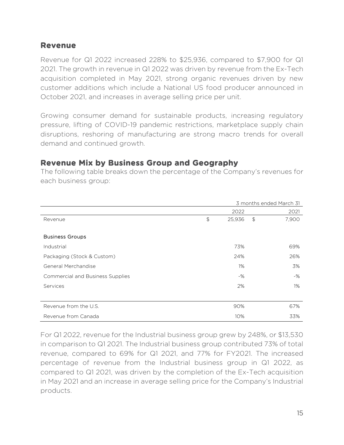#### **Revenue**

Revenue for Q1 2022 increased 228% to \$25,936, compared to \$7,900 for Q1 2021. The growth in revenue in Q1 2022 was driven by revenue from the Ex-Tech acquisition completed in May 2021, strong organic revenues driven by new customer additions which include a National US food producer announced in October 2021, and increases in average selling price per unit.

Growing consumer demand for sustainable products, increasing regulatory pressure, lifting of COVID-19 pandemic restrictions, marketplace supply chain disruptions, reshoring of manufacturing are strong macro trends for overall demand and continued growth.

## **Revenue Mix by Business Group and Geography**

The following table breaks down the percentage of the Company's revenues for each business group:

|                                         | 3 months ended March 31 |        |               |       |  |
|-----------------------------------------|-------------------------|--------|---------------|-------|--|
|                                         |                         | 2022   |               | 2021  |  |
| Revenue                                 | $\updownarrow$          | 25,936 | $\frac{1}{2}$ | 7,900 |  |
|                                         |                         |        |               |       |  |
| <b>Business Groups</b>                  |                         |        |               |       |  |
| Industrial                              |                         | 73%    |               | 69%   |  |
| Packaging (Stock & Custom)              |                         | 24%    |               | 26%   |  |
| General Merchandise                     |                         | $1\%$  |               | 3%    |  |
| <b>Commercial and Business Supplies</b> |                         | $-$ %  |               | $-$ % |  |
| Services                                |                         | 2%     |               | $1\%$ |  |
|                                         |                         |        |               |       |  |
| Revenue from the U.S.                   |                         | 90%    |               | 67%   |  |
| Revenue from Canada                     |                         | 10%    |               | 33%   |  |

For Q1 2022, revenue for the Industrial business group grew by 248%, or \$13,530 in comparison to Q1 2021. The Industrial business group contributed 73% of total revenue, compared to 69% for Q1 2021, and 77% for FY2021. The increased percentage of revenue from the Industrial business group in Q1 2022, as compared to Q1 2021, was driven by the completion of the Ex-Tech acquisition in May 2021 and an increase in average selling price for the Company's Industrial products.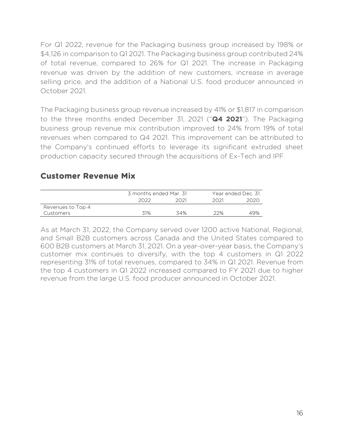For Q1 2022, revenue for the Packaging business group increased by 198% or \$4,126 in comparison to Q1 2021. The Packaging business group contributed 24% of total revenue, compared to 26% for Q1 2021. The increase in Packaging revenue was driven by the addition of new customers, increase in average selling price, and the addition of a National U.S. food producer announced in October 2021.

The Packaging business group revenue increased by 41% or \$1,817 in comparison to the three months ended December 31, 2021 ("**Q4 2021**"). The Packaging business group revenue mix contribution improved to 24% from 19% of total revenues when compared to Q4 2021. This improvement can be attributed to the Company's continued efforts to leverage its significant extruded sheet production capacity secured through the acquisitions of Ex-Tech and IPF.

## **Customer Revenue Mix**

|                   | 3 months ended Mar. 31 |      | Year ended Dec. 31 |      |  |  |
|-------------------|------------------------|------|--------------------|------|--|--|
|                   |                        | 2021 |                    | 2020 |  |  |
| Revenues to Top 4 |                        |      |                    |      |  |  |
| Customers         | 31%                    | 34%  | 22%                | 49%  |  |  |

As at March 31, 2022, the Company served over 1200 active National, Regional, and Small B2B customers across Canada and the United States compared to 600 B2B customers at March 31, 2021. On a year-over-year basis, the Company's customer mix continues to diversify, with the top 4 customers in Q1 2022 representing 31% of total revenues, compared to 34% in Q1 2021. Revenue from the top 4 customers in Q1 2022 increased compared to FY 2021 due to higher revenue from the large U.S. food producer announced in October 2021.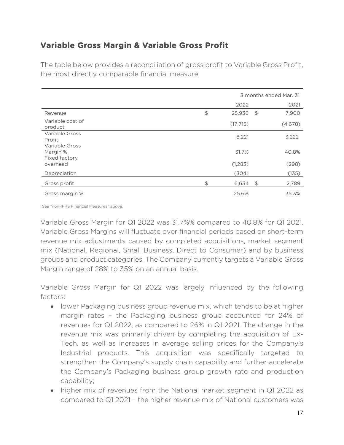# **Variable Gross Margin & Variable Gross Profit**

The table below provides a reconciliation of gross profit to Variable Gross Profit, the most directly comparable financial measure:

|                                             | 3 months ended Mar. 31 |    |         |  |  |  |
|---------------------------------------------|------------------------|----|---------|--|--|--|
|                                             | 2022                   |    | 2021    |  |  |  |
| Revenue                                     | \$<br>25,936           | \$ | 7,900   |  |  |  |
| Variable cost of<br>product                 | (17, 715)              |    | (4,678) |  |  |  |
| Variable Gross<br>Profit <sup>1</sup>       | 8,221                  |    | 3,222   |  |  |  |
| Variable Gross<br>Margin %<br>Fixed factory | 31.7%                  |    | 40.8%   |  |  |  |
| overhead                                    | (1,283)                |    | (298)   |  |  |  |
| Depreciation                                | (304)                  |    | (135)   |  |  |  |
| Gross profit                                | \$<br>$6,634$ \$       |    | 2,789   |  |  |  |
| Gross margin %                              | 25.6%                  |    | 35.3%   |  |  |  |

1 See "non-IFRS Financial Measures" above.

Variable Gross Margin for Q1 2022 was 31.7%% compared to 40.8% for Q1 2021. Variable Gross Margins will fluctuate over financial periods based on short-term revenue mix adjustments caused by completed acquisitions, market segment mix (National, Regional, Small Business, Direct to Consumer) and by business groups and product categories. The Company currently targets a Variable Gross Margin range of 28% to 35% on an annual basis.

Variable Gross Margin for Q1 2022 was largely influenced by the following factors:

- lower Packaging business group revenue mix, which tends to be at higher margin rates – the Packaging business group accounted for 24% of revenues for Q1 2022, as compared to 26% in Q1 2021. The change in the revenue mix was primarily driven by completing the acquisition of Ex-Tech, as well as increases in average selling prices for the Company's Industrial products. This acquisition was specifically targeted to strengthen the Company's supply chain capability and further accelerate the Company's Packaging business group growth rate and production capability;
- higher mix of revenues from the National market segment in Q1 2022 as compared to Q1 2021 – the higher revenue mix of National customers was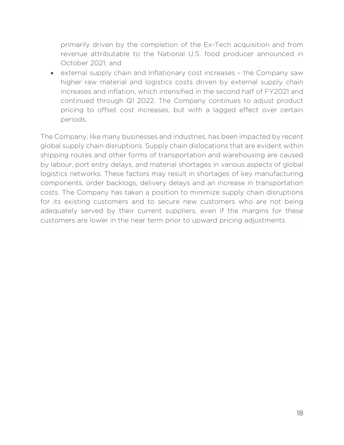primarily driven by the completion of the Ex-Tech acquisition and from revenue attributable to the National U.S. food producer announced in October 2021; and

 external supply chain and Inflationary cost increases – the Company saw higher raw material and logistics costs driven by external supply chain increases and inflation, which intensified in the second half of FY2021 and continued through Q1 2022. The Company continues to adjust product pricing to offset cost increases, but with a lagged effect over certain periods.

The Company, like many businesses and industries, has been impacted by recent global supply chain disruptions. Supply chain dislocations that are evident within shipping routes and other forms of transportation and warehousing are caused by labour, port entry delays, and material shortages in various aspects of global logistics networks. These factors may result in shortages of key manufacturing components, order backlogs, delivery delays and an increase in transportation costs. The Company has taken a position to minimize supply chain disruptions for its existing customers and to secure new customers who are not being adequately served by their current suppliers, even if the margins for these customers are lower in the near term prior to upward pricing adjustments.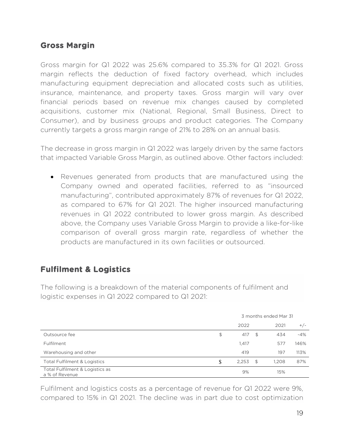## **Gross Margin**

Gross margin for Q1 2022 was 25.6% compared to 35.3% for Q1 2021. Gross margin reflects the deduction of fixed factory overhead, which includes manufacturing equipment depreciation and allocated costs such as utilities, insurance, maintenance, and property taxes. Gross margin will vary over financial periods based on revenue mix changes caused by completed acquisitions, customer mix (National, Regional, Small Business, Direct to Consumer), and by business groups and product categories. The Company currently targets a gross margin range of 21% to 28% on an annual basis.

The decrease in gross margin in Q1 2022 was largely driven by the same factors that impacted Variable Gross Margin, as outlined above. Other factors included:

 Revenues generated from products that are manufactured using the Company owned and operated facilities, referred to as "insourced manufacturing", contributed approximately 87% of revenues for Q1 2022, as compared to 67% for Q1 2021. The higher insourced manufacturing revenues in Q1 2022 contributed to lower gross margin. As described above, the Company uses Variable Gross Margin to provide a like-for-like comparison of overall gross margin rate, regardless of whether the products are manufactured in its own facilities or outsourced.

## **Fulfilment & Logistics**

The following is a breakdown of the material components of fulfilment and logistic expenses in Q1 2022 compared to Q1 2021:

|                                                   |    | 3 months ended Mar 31 |    |       |       |  |  |
|---------------------------------------------------|----|-----------------------|----|-------|-------|--|--|
|                                                   |    | 2022                  |    | 2021  | $+/-$ |  |  |
| Outsource fee                                     | \$ | 417                   | \$ | 434   | $-4%$ |  |  |
| Fulfilment                                        |    | 1,417                 |    | 577   | 146%  |  |  |
| Warehousing and other                             |    | 419                   |    | 197   | 113%  |  |  |
| <b>Total Fulfilment &amp; Logistics</b>           | S  | 2,253                 | \$ | 1,208 | 87%   |  |  |
| Total Fulfilment & Logistics as<br>a % of Revenue |    | 9%                    |    | 15%   |       |  |  |

Fulfilment and logistics costs as a percentage of revenue for Q1 2022 were 9%, compared to 15% in Q1 2021. The decline was in part due to cost optimization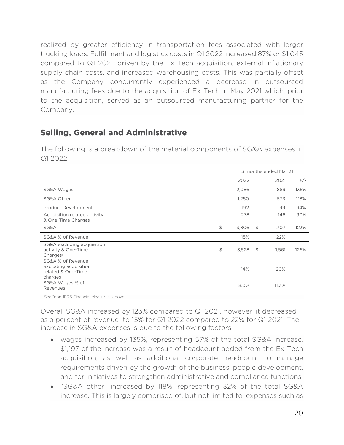realized by greater efficiency in transportation fees associated with larger trucking loads. Fulfillment and logistics costs in Q1 2022 increased 87% or \$1,045 compared to Q1 2021, driven by the Ex-Tech acquisition, external inflationary supply chain costs, and increased warehousing costs. This was partially offset as the Company concurrently experienced a decrease in outsourced manufacturing fees due to the acquisition of Ex-Tech in May 2021 which, prior to the acquisition, served as an outsourced manufacturing partner for the Company.

## **Selling, General and Administrative**

The following is a breakdown of the material components of SG&A expenses in Q1 2022:

|                                                                             | 3 months ended Mar 31 |                |       |       |  |
|-----------------------------------------------------------------------------|-----------------------|----------------|-------|-------|--|
|                                                                             | 2022                  |                | 2021  | $+/-$ |  |
| SG&A Wages                                                                  | 2,086                 |                | 889   | 135%  |  |
| SG&A Other                                                                  | 1,250                 |                | 573   | 118%  |  |
| Product Development                                                         | 192                   |                | 99    | 94%   |  |
| Acquisition related activity<br>& One-Time Charges                          | 278                   |                | 146   | 90%   |  |
| SG&A                                                                        | \$<br>3,806           | \$             | 1,707 | 123%  |  |
| SG&A % of Revenue                                                           | 15%                   |                | 22%   |       |  |
| SG&A excluding acquisition<br>activity & One-Time<br>Charges                | \$<br>3,528           | $\mathfrak{S}$ | 1,561 | 126%  |  |
| SG&A % of Revenue<br>excluding acquisition<br>related & One-Time<br>charges | 14%                   |                | 20%   |       |  |
| SG&A Wages % of<br>Revenues                                                 | 8.0%                  |                | 11.3% |       |  |

<sup>1</sup> See "non-IFRS Financial Measures" above.

Overall SG&A increased by 123% compared to Q1 2021, however, it decreased as a percent of revenue to 15% for Q1 2022 compared to 22% for Q1 2021. The increase in SG&A expenses is due to the following factors:

- wages increased by 135%, representing 57% of the total SG&A increase. \$1,197 of the increase was a result of headcount added from the Ex-Tech acquisition, as well as additional corporate headcount to manage requirements driven by the growth of the business, people development, and for initiatives to strengthen administrative and compliance functions;
- "SG&A other" increased by 118%, representing 32% of the total SG&A increase. This is largely comprised of, but not limited to, expenses such as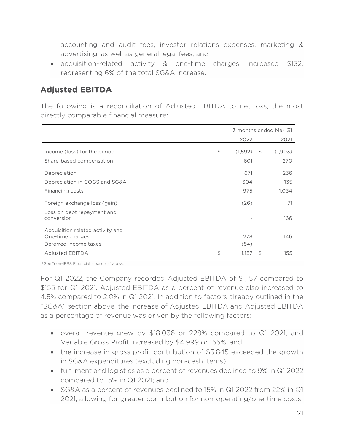accounting and audit fees, investor relations expenses, marketing & advertising, as well as general legal fees; and

 acquisition-related activity & one-time charges increased \$132, representing 6% of the total SG&A increase.

## **Adjusted EBITDA**

The following is a reconciliation of Adjusted EBITDA to net loss, the most directly comparable financial measure:

|                                                      |               |                | 3 months ended Mar. 31 |
|------------------------------------------------------|---------------|----------------|------------------------|
|                                                      | 2022          |                | 2021                   |
| Income (loss) for the period                         | \$<br>(1,592) | $\mathfrak{S}$ | (1,903)                |
| Share-based compensation                             | 601           |                | 270                    |
| Depreciation                                         | 671           |                | 236                    |
| Depreciation in COGS and SG&A                        | 304           |                | 135                    |
| Financing costs                                      | 975           |                | 1,034                  |
| Foreign exchange loss (gain)                         | (26)          |                | 71                     |
| Loss on debt repayment and<br>conversion             |               |                | 166                    |
| Acquisition related activity and<br>One-time charges | 278           |                | 146                    |
| Deferred income taxes                                | (54)          |                |                        |
| Adjusted EBITDA <sup>1</sup>                         | \$<br>1,157   | \$             | 155                    |

<sup>11</sup> See "non-IFRS Financial Measures" above

For Q1 2022, the Company recorded Adjusted EBITDA of \$1,157 compared to \$155 for Q1 2021. Adjusted EBITDA as a percent of revenue also increased to 4.5% compared to 2.0% in Q1 2021. In addition to factors already outlined in the "SG&A" section above, the increase of Adjusted EBITDA and Adjusted EBITDA as a percentage of revenue was driven by the following factors:

- overall revenue grew by \$18,036 or 228% compared to Q1 2021, and Variable Gross Profit increased by \$4,999 or 155%; and
- the increase in gross profit contribution of \$3,845 exceeded the growth in SG&A expenditures (excluding non-cash items);
- fulfilment and logistics as a percent of revenues declined to 9% in Q1 2022 compared to 15% in Q1 2021; and
- SG&A as a percent of revenues declined to 15% in Q1 2022 from 22% in Q1 2021, allowing for greater contribution for non-operating/one-time costs.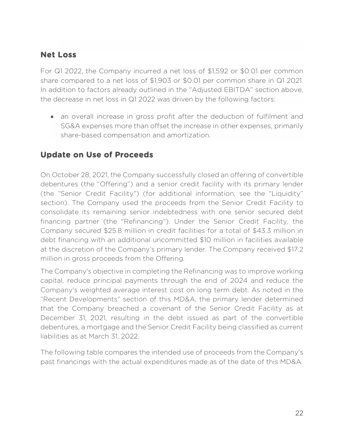## **Net Loss**

For Q1 2022, the Company incurred a net loss of \$1,592 or \$0.01 per common share compared to a net loss of \$1,903 or \$0.01 per common share in Q1 2021. In addition to factors already outlined in the "Adjusted EBITDA" section above, the decrease in net loss in Q1 2022 was driven by the following factors:

 an overall increase in gross profit after the deduction of fulfilment and SG&A expenses more than offset the increase in other expenses, primarily share-based compensation and amortization.

## **Update on Use of Proceeds**

On October 28, 2021, the Company successfully closed an offering of convertible debentures (the "Offering") and a senior credit facility with its primary lender (the "Senior Credit Facility") (for additional information, see the "Liquidity" section). The Company used the proceeds from the Senior Credit Facility to consolidate its remaining senior indebtedness with one senior secured debt financing partner (the "Refinancing"). Under the Senior Credit Facility, the Company secured \$25.8 million in credit facilities for a total of \$43.3 million in debt financing with an additional uncommitted \$10 million in facilities available at the discretion of the Company's primary lender. The Company received \$17.2 million in gross proceeds from the Offering.

The Company's objective in completing the Refinancing was to improve working capital, reduce principal payments through the end of 2024 and reduce the Company's weighted average interest cost on long term debt. As noted in the "Recent Developments" section of this MD&A, the primary lender determined that the Company breached a covenant of the Senior Credit Facility as at December 31, 2021, resulting in the debt issued as part of the convertible debentures, a mortgage and the Senior Credit Facility being classified as current liabilities as at March 31, 2022.

The following table compares the intended use of proceeds from the Company's past financings with the actual expenditures made as of the date of this MD&A.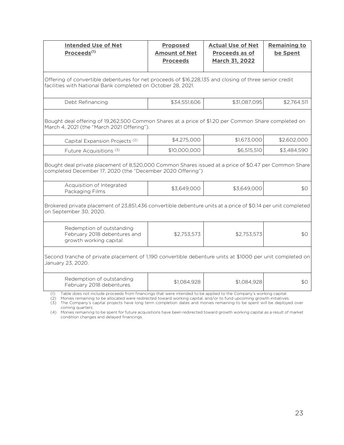| <b>Intended Use of Net</b><br>Proceeds <sup>(1)</sup>                                                                                                                                                                                                                                                                                                                                                                                                                                                                                                                                          | <b>Proposed</b><br><b>Amount of Net</b><br><b>Proceeds</b> | <b>Actual Use of Net</b><br>Proceeds as of<br><b>March 31, 2022</b> | <b>Remaining to</b><br>be Spent |  |  |  |  |  |  |  |
|------------------------------------------------------------------------------------------------------------------------------------------------------------------------------------------------------------------------------------------------------------------------------------------------------------------------------------------------------------------------------------------------------------------------------------------------------------------------------------------------------------------------------------------------------------------------------------------------|------------------------------------------------------------|---------------------------------------------------------------------|---------------------------------|--|--|--|--|--|--|--|
| Offering of convertible debentures for net proceeds of \$16,228,135 and closing of three senior credit<br>facilities with National Bank completed on October 28, 2021.                                                                                                                                                                                                                                                                                                                                                                                                                         |                                                            |                                                                     |                                 |  |  |  |  |  |  |  |
| Debt Refinancing                                                                                                                                                                                                                                                                                                                                                                                                                                                                                                                                                                               | \$34,551,606                                               | \$31,087,095                                                        | \$2,764,511                     |  |  |  |  |  |  |  |
| Bought deal offering of 19,262,500 Common Shares at a price of \$1.20 per Common Share completed on<br>March 4, 2021 (the "March 2021 Offering").                                                                                                                                                                                                                                                                                                                                                                                                                                              |                                                            |                                                                     |                                 |  |  |  |  |  |  |  |
| Capital Expansion Projects <sup>(2)</sup>                                                                                                                                                                                                                                                                                                                                                                                                                                                                                                                                                      | \$4,275,000                                                | \$1,673,000                                                         | \$2,602,000                     |  |  |  |  |  |  |  |
| Future Acquisitions <sup>(3)</sup>                                                                                                                                                                                                                                                                                                                                                                                                                                                                                                                                                             | \$10,000,000                                               | \$6,515,510                                                         | \$3,484,590                     |  |  |  |  |  |  |  |
| Bought deal private placement of 8,520,000 Common Shares issued at a price of \$0.47 per Common Share<br>completed December 17, 2020 (the "December 2020 Offering")<br>Acquisition of Integrated                                                                                                                                                                                                                                                                                                                                                                                               |                                                            |                                                                     |                                 |  |  |  |  |  |  |  |
| Packaging Films                                                                                                                                                                                                                                                                                                                                                                                                                                                                                                                                                                                | \$3,649,000                                                | \$3,649,000                                                         | \$0                             |  |  |  |  |  |  |  |
| Brokered private placement of 23,851,436 convertible debenture units at a price of \$0.14 per unit completed<br>on September 30, 2020.                                                                                                                                                                                                                                                                                                                                                                                                                                                         |                                                            |                                                                     |                                 |  |  |  |  |  |  |  |
| Redemption of outstanding<br>February 2018 debentures and<br>growth working capital.                                                                                                                                                                                                                                                                                                                                                                                                                                                                                                           | \$2,753,573                                                | \$2,753,573                                                         | \$0                             |  |  |  |  |  |  |  |
| Second tranche of private placement of 1,190 convertible debenture units at \$1000 per unit completed on<br>January 23, 2020.                                                                                                                                                                                                                                                                                                                                                                                                                                                                  |                                                            |                                                                     |                                 |  |  |  |  |  |  |  |
| Redemption of outstanding<br>February 2018 debentures.                                                                                                                                                                                                                                                                                                                                                                                                                                                                                                                                         | \$1,084,928                                                | \$1,084,928                                                         | \$0                             |  |  |  |  |  |  |  |
| Table does not include proceeds from financings that were intended to be applied to the Company's working capital.<br>(1)<br>(2)<br>Monies remaining to be allocated were redirected toward working capital, and/or to fund upcoming growth initiatives.<br>The Company's capital projects have long term completion dates and monies remaining to be spent will be deployed over<br>(3)<br>coming quarters.<br>(4) Monies remaining to be spent for future acquisitions have been redirected toward growth working capital as a result of market<br>condition changes and delayed financings. |                                                            |                                                                     |                                 |  |  |  |  |  |  |  |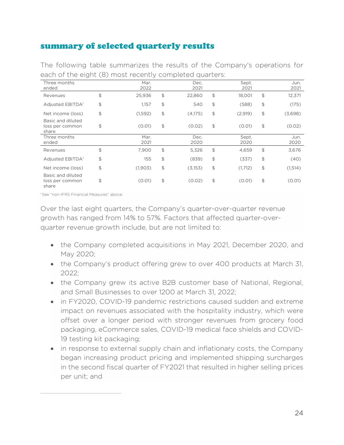## summary of selected quarterly results

| Three months<br>ended                         | Mar.<br>2022  |                | Dec.<br>2021 |               | Sept.<br>2021 |                  | Jun.<br>2021 |
|-----------------------------------------------|---------------|----------------|--------------|---------------|---------------|------------------|--------------|
| Revenues                                      | \$<br>25,936  | \$             | 22,860       | \$            | 18,001        | \$               | 12,371       |
| Adjusted EBITDA <sup>1</sup>                  | \$<br>1,157   | $\updownarrow$ | 540          | $\frac{1}{2}$ | (588)         | $$\mathfrak{S}$$ | (175)        |
| Net income (loss)                             | \$<br>(1,592) | $$\mathbb{S}$$ | (4,175)      | $\frac{1}{2}$ | (2,919)       | $\mathfrak{P}$   | (3,698)      |
| Basic and diluted<br>loss per common<br>share | \$<br>(0.01)  | \$             | (0.02)       | $\frac{1}{2}$ | (0.01)        | \$               | (0.02)       |
| Three months<br>ended                         | Mar.<br>2021  |                | Dec.<br>2020 |               | Sept.<br>2020 |                  | Jun.<br>2020 |
| Revenues                                      | \$<br>7,900   | \$             | 5,326        | $\frac{1}{2}$ | 4,659         | $\mathfrak{P}$   | 3,676        |
| Adjusted EBITDA <sup>1</sup>                  | \$<br>155     | \$             | (839)        | $\frac{1}{2}$ | (337)         | \$               | (40)         |
| Net income (loss)                             | \$<br>(1,903) | \$             | (3,153)      | \$            | (1,712)       | \$               | (1,514)      |
| Basic and diluted<br>loss per common<br>share | \$<br>(0.01)  | $\frac{1}{2}$  | (0.02)       | \$            | (0.01)        | \$               | (0.01)       |

The following table summarizes the results of the Company's operations for each of the eight (8) most recently completed quarters:

1 See "non-IFRS Financial Measures" above.

Over the last eight quarters, the Company's quarter-over-quarter revenue growth has ranged from 14% to 57%. Factors that affected quarter-overquarter revenue growth include, but are not limited to:

- the Company completed acquisitions in May 2021, December 2020, and May 2020;
- the Company's product offering grew to over 400 products at March 31, 2022;
- the Company grew its active B2B customer base of National, Regional, and Small Businesses to over 1200 at March 31, 2022;
- in FY2020, COVID-19 pandemic restrictions caused sudden and extreme impact on revenues associated with the hospitality industry, which were offset over a longer period with stronger revenues from grocery food packaging, eCommerce sales, COVID-19 medical face shields and COVID-19 testing kit packaging;
- in response to external supply chain and inflationary costs, the Company began increasing product pricing and implemented shipping surcharges in the second fiscal quarter of FY2021 that resulted in higher selling prices per unit; and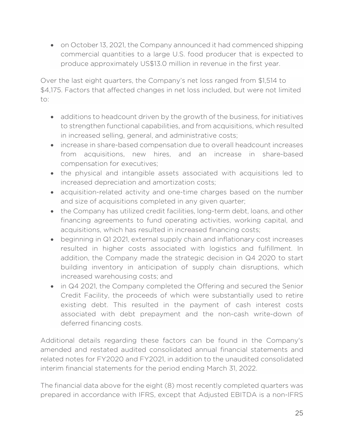• on October 13, 2021, the Company announced it had commenced shipping commercial quantities to a large U.S. food producer that is expected to produce approximately US\$13.0 million in revenue in the first year.

Over the last eight quarters, the Company's net loss ranged from \$1,514 to \$4,175. Factors that affected changes in net loss included, but were not limited to:

- additions to headcount driven by the growth of the business, for initiatives to strengthen functional capabilities, and from acquisitions, which resulted in increased selling, general, and administrative costs;
- increase in share-based compensation due to overall headcount increases from acquisitions, new hires, and an increase in share-based compensation for executives;
- the physical and intangible assets associated with acquisitions led to increased depreciation and amortization costs;
- acquisition-related activity and one-time charges based on the number and size of acquisitions completed in any given quarter;
- the Company has utilized credit facilities, long-term debt, loans, and other financing agreements to fund operating activities, working capital, and acquisitions, which has resulted in increased financing costs;
- beginning in Q1 2021, external supply chain and inflationary cost increases resulted in higher costs associated with logistics and fulfillment. In addition, the Company made the strategic decision in Q4 2020 to start building inventory in anticipation of supply chain disruptions, which increased warehousing costs; and
- in Q4 2021, the Company completed the Offering and secured the Senior Credit Facility, the proceeds of which were substantially used to retire existing debt. This resulted in the payment of cash interest costs associated with debt prepayment and the non-cash write-down of deferred financing costs.

Additional details regarding these factors can be found in the Company's amended and restated audited consolidated annual financial statements and related notes for FY2020 and FY2021, in addition to the unaudited consolidated interim financial statements for the period ending March 31, 2022.

The financial data above for the eight (8) most recently completed quarters was prepared in accordance with IFRS, except that Adjusted EBITDA is a non-IFRS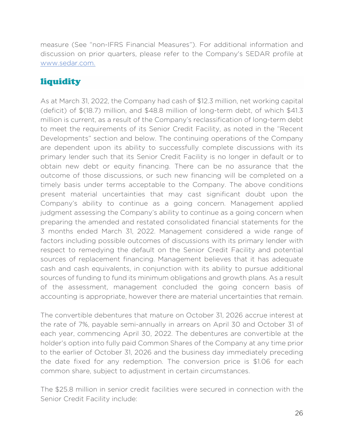measure (See "non-IFRS Financial Measures"). For additional information and discussion on prior quarters, please refer to the Company's SEDAR profile at www.sedar.com.

# **liquidity**

As at March 31, 2022, the Company had cash of \$12.3 million, net working capital (deficit) of \$(18.7) million, and \$48.8 million of long-term debt, of which \$41.3 million is current, as a result of the Company's reclassification of long-term debt to meet the requirements of its Senior Credit Facility, as noted in the "Recent Developments" section and below. The continuing operations of the Company are dependent upon its ability to successfully complete discussions with its primary lender such that its Senior Credit Facility is no longer in default or to obtain new debt or equity financing. There can be no assurance that the outcome of those discussions, or such new financing will be completed on a timely basis under terms acceptable to the Company. The above conditions present material uncertainties that may cast significant doubt upon the Company's ability to continue as a going concern. Management applied judgment assessing the Company's ability to continue as a going concern when preparing the amended and restated consolidated financial statements for the 3 months ended March 31, 2022. Management considered a wide range of factors including possible outcomes of discussions with its primary lender with respect to remedying the default on the Senior Credit Facility and potential sources of replacement financing. Management believes that it has adequate cash and cash equivalents, in conjunction with its ability to pursue additional sources of funding to fund its minimum obligations and growth plans. As a result of the assessment, management concluded the going concern basis of accounting is appropriate, however there are material uncertainties that remain.

The convertible debentures that mature on October 31, 2026 accrue interest at the rate of 7%, payable semi-annually in arrears on April 30 and October 31 of each year, commencing April 30, 2022. The debentures are convertible at the holder's option into fully paid Common Shares of the Company at any time prior to the earlier of October 31, 2026 and the business day immediately preceding the date fixed for any redemption. The conversion price is \$1.06 for each common share, subject to adjustment in certain circumstances.

The \$25.8 million in senior credit facilities were secured in connection with the Senior Credit Facility include: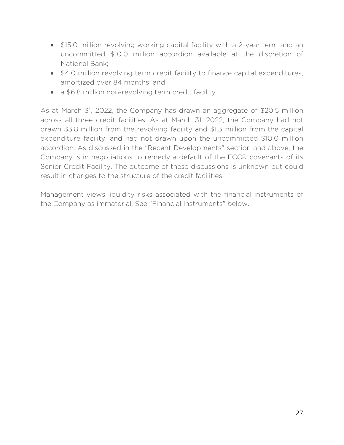- \$15.0 million revolving working capital facility with a 2-year term and an uncommitted \$10.0 million accordion available at the discretion of National Bank;
- \$4.0 million revolving term credit facility to finance capital expenditures, amortized over 84 months; and
- a \$6.8 million non-revolving term credit facility.

As at March 31, 2022, the Company has drawn an aggregate of \$20.5 million across all three credit facilities. As at March 31, 2022, the Company had not drawn \$3.8 million from the revolving facility and \$1.3 million from the capital expenditure facility, and had not drawn upon the uncommitted \$10.0 million accordion. As discussed in the "Recent Developments" section and above, the Company is in negotiations to remedy a default of the FCCR covenants of its Senior Credit Facility. The outcome of these discussions is unknown but could result in changes to the structure of the credit facilities.

Management views liquidity risks associated with the financial instruments of the Company as immaterial. See "Financial Instruments" below.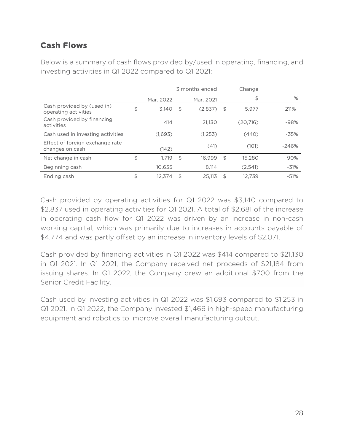## **Cash Flows**

Below is a summary of cash flows provided by/used in operating, financing, and investing activities in Q1 2022 compared to Q1 2021:

|                                                    | 3 months ended |                |           |      | Change   |         |
|----------------------------------------------------|----------------|----------------|-----------|------|----------|---------|
|                                                    | Mar. 2022      |                | Mar. 2021 |      | \$       | %       |
| Cash provided by (used in)<br>operating activities | \$<br>3,140    | \$             | (2,837)   | - \$ | 5,977    | 211%    |
| Cash provided by financing<br>activities           | 414            |                | 21.130    |      | (20.716) | $-98%$  |
| Cash used in investing activities                  | (1,693)        |                | (1,253)   |      | (440)    | $-35%$  |
| Effect of foreign exchange rate<br>changes on cash | (142)          |                | (41)      |      | (101)    | $-246%$ |
| Net change in cash                                 | \$<br>1.719    | $\mathfrak{L}$ | 16.999    | \$   | 15,280   | 90%     |
| Beginning cash                                     | 10.655         |                | 8.114     |      | (2,541)  | $-31%$  |
| Ending cash                                        | \$<br>12.374   | \$             | 25.113    | \$   | 12.739   | $-51%$  |

Cash provided by operating activities for Q1 2022 was \$3,140 compared to \$2,837 used in operating activities for Q1 2021. A total of \$2,681 of the increase in operating cash flow for Q1 2022 was driven by an increase in non-cash working capital, which was primarily due to increases in accounts payable of \$4,774 and was partly offset by an increase in inventory levels of \$2,071.

Cash provided by financing activities in Q1 2022 was \$414 compared to \$21,130 in Q1 2021. In Q1 2021, the Company received net proceeds of \$21,184 from issuing shares. In Q1 2022, the Company drew an additional \$700 from the Senior Credit Facility.

Cash used by investing activities in Q1 2022 was \$1,693 compared to \$1,253 in Q1 2021. In Q1 2022, the Company invested \$1,466 in high-speed manufacturing equipment and robotics to improve overall manufacturing output.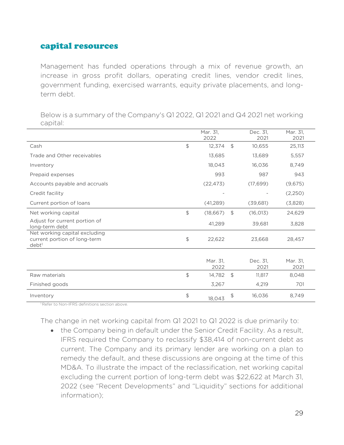## capital resources

Management has funded operations through a mix of revenue growth, an increase in gross profit dollars, operating credit lines, vendor credit lines, government funding, exercised warrants, equity private placements, and longterm debt.

Mar. 31, 2022 Dec. 31, 2021 Mar. 31, 2021 Cash \$ 12,374 \$ 10,655 25,113 Trade and Other receivables 13,685 13,689 5,557 Inventory 18,043 16,036 8,749 Prepaid expenses 893 897 943 Accounts payable and accruals (22,473) (17,699) (9,675) Credit facility (2,250)  $\sim$  - (2,250) Current portion of loans (41,289) (39,681) (3,828) Net working capital  $\qquad \qquad \qquad \qquad$  18,667) \$ (16,013) 24,629 Adjust for current portion of Adjust for early portion of the state of the 41,289 39,681 3,828<br>long-term debt Net working capital excluding current portion of long-term debt1 \$ 22,622 23,668 28,457 Mar. 31, 2022 Dec. 31, 2021 Mar. 31, 2021 Raw materials **11,817** 8,048 Finished goods 3,267 4,219 701 Inventory \$ 18,043 \$ 16,036 8,749

Below is a summary of the Company's Q1 2022, Q1 2021 and Q4 2021 net working capital:

<sup>1</sup> Refer to Non-IFRS definitions section above.

The change in net working capital from Q1 2021 to Q1 2022 is due primarily to:

• the Company being in default under the Senior Credit Facility. As a result, IFRS required the Company to reclassify \$38,414 of non-current debt as current. The Company and its primary lender are working on a plan to remedy the default, and these discussions are ongoing at the time of this MD&A. To illustrate the impact of the reclassification, net working capital excluding the current portion of long-term debt was \$22,622 at March 31, 2022 (see "Recent Developments" and "Liquidity" sections for additional information);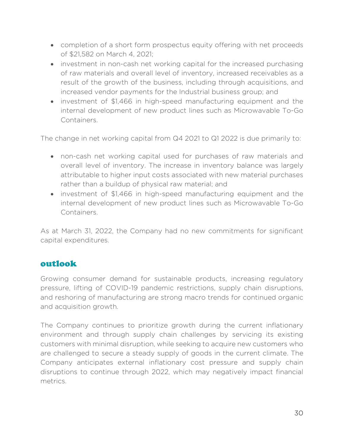- completion of a short form prospectus equity offering with net proceeds of \$21,582 on March 4, 2021;
- investment in non-cash net working capital for the increased purchasing of raw materials and overall level of inventory, increased receivables as a result of the growth of the business, including through acquisitions, and increased vendor payments for the Industrial business group; and
- investment of \$1,466 in high-speed manufacturing equipment and the internal development of new product lines such as Microwavable To-Go Containers.

The change in net working capital from Q4 2021 to Q1 2022 is due primarily to:

- non-cash net working capital used for purchases of raw materials and overall level of inventory. The increase in inventory balance was largely attributable to higher input costs associated with new material purchases rather than a buildup of physical raw material; and
- investment of \$1,466 in high-speed manufacturing equipment and the internal development of new product lines such as Microwavable To-Go Containers.

As at March 31, 2022, the Company had no new commitments for significant capital expenditures.

## outlook

Growing consumer demand for sustainable products, increasing regulatory pressure, lifting of COVID-19 pandemic restrictions, supply chain disruptions, and reshoring of manufacturing are strong macro trends for continued organic and acquisition growth.

The Company continues to prioritize growth during the current inflationary environment and through supply chain challenges by servicing its existing customers with minimal disruption, while seeking to acquire new customers who are challenged to secure a steady supply of goods in the current climate. The Company anticipates external inflationary cost pressure and supply chain disruptions to continue through 2022, which may negatively impact financial metrics.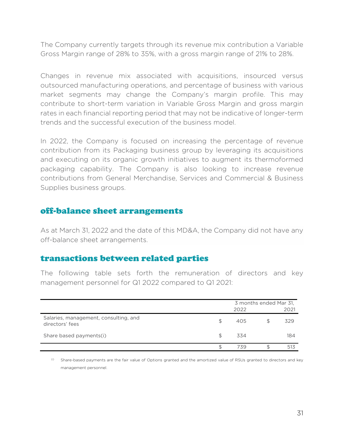The Company currently targets through its revenue mix contribution a Variable Gross Margin range of 28% to 35%, with a gross margin range of 21% to 28%.

Changes in revenue mix associated with acquisitions, insourced versus outsourced manufacturing operations, and percentage of business with various market segments may change the Company's margin profile. This may contribute to short-term variation in Variable Gross Margin and gross margin rates in each financial reporting period that may not be indicative of longer-term trends and the successful execution of the business model.

In 2022, the Company is focused on increasing the percentage of revenue contribution from its Packaging business group by leveraging its acquisitions and executing on its organic growth initiatives to augment its thermoformed packaging capability. The Company is also looking to increase revenue contributions from General Merchandise, Services and Commercial & Business Supplies business groups.

#### off-balance sheet arrangements

As at March 31, 2022 and the date of this MD&A, the Company did not have any off-balance sheet arrangements.

#### transactions between related parties

The following table sets forth the remuneration of directors and key management personnel for Q1 2022 compared to Q1 2021:

|                                                          |     | 3 months ended Mar 31,<br>2022<br>2021 |  |     |
|----------------------------------------------------------|-----|----------------------------------------|--|-----|
| Salaries, management, consulting, and<br>directors' fees | \$. | 405                                    |  | 329 |
| Share based payments(i)                                  | S   | 334                                    |  | 184 |
|                                                          |     | 739                                    |  | 513 |

(i) Share-based payments are the fair value of Options granted and the amortized value of RSUs granted to directors and key management personnel.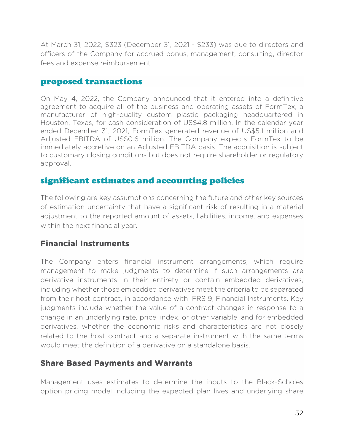At March 31, 2022, \$323 (December 31, 2021 - \$233) was due to directors and officers of the Company for accrued bonus, management, consulting, director fees and expense reimbursement.

#### proposed transactions

On May 4, 2022, the Company announced that it entered into a definitive agreement to acquire all of the business and operating assets of FormTex, a manufacturer of high-quality custom plastic packaging headquartered in Houston, Texas, for cash consideration of US\$4.8 million. In the calendar year ended December 31, 2021, FormTex generated revenue of US\$5.1 million and Adjusted EBITDA of US\$0.6 million. The Company expects FormTex to be immediately accretive on an Adjusted EBITDA basis. The acquisition is subject to customary closing conditions but does not require shareholder or regulatory approval.

## significant estimates and accounting policies

The following are key assumptions concerning the future and other key sources of estimation uncertainty that have a significant risk of resulting in a material adjustment to the reported amount of assets, liabilities, income, and expenses within the next financial year.

## **Financial Instruments**

The Company enters financial instrument arrangements, which require management to make judgments to determine if such arrangements are derivative instruments in their entirety or contain embedded derivatives, including whether those embedded derivatives meet the criteria to be separated from their host contract, in accordance with IFRS 9, Financial Instruments. Key judgments include whether the value of a contract changes in response to a change in an underlying rate, price, index, or other variable, and for embedded derivatives, whether the economic risks and characteristics are not closely related to the host contract and a separate instrument with the same terms would meet the definition of a derivative on a standalone basis.

#### **Share Based Payments and Warrants**

Management uses estimates to determine the inputs to the Black-Scholes option pricing model including the expected plan lives and underlying share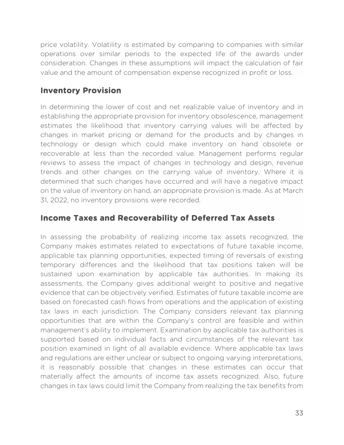price volatility. Volatility is estimated by comparing to companies with similar operations over similar periods to the expected life of the awards under consideration. Changes in these assumptions will impact the calculation of fair value and the amount of compensation expense recognized in profit or loss.

## **Inventory Provision**

In determining the lower of cost and net realizable value of inventory and in establishing the appropriate provision for inventory obsolescence, management estimates the likelihood that inventory carrying values will be affected by changes in market pricing or demand for the products and by changes in technology or design which could make inventory on hand obsolete or recoverable at less than the recorded value. Management performs regular reviews to assess the impact of changes in technology and design, revenue trends and other changes on the carrying value of inventory. Where it is determined that such changes have occurred and will have a negative impact on the value of inventory on hand, an appropriate provision is made. As at March 31, 2022, no inventory provisions were recorded.

## **Income Taxes and Recoverability of Deferred Tax Assets**

In assessing the probability of realizing income tax assets recognized, the Company makes estimates related to expectations of future taxable income, applicable tax planning opportunities, expected timing of reversals of existing temporary differences and the likelihood that tax positions taken will be sustained upon examination by applicable tax authorities. In making its assessments, the Company gives additional weight to positive and negative evidence that can be objectively verified. Estimates of future taxable income are based on forecasted cash flows from operations and the application of existing tax laws in each jurisdiction. The Company considers relevant tax planning opportunities that are within the Company's control are feasible and within management's ability to implement. Examination by applicable tax authorities is supported based on individual facts and circumstances of the relevant tax position examined in light of all available evidence. Where applicable tax laws and regulations are either unclear or subject to ongoing varying interpretations, it is reasonably possible that changes in these estimates can occur that materially affect the amounts of income tax assets recognized. Also, future changes in tax laws could limit the Company from realizing the tax benefits from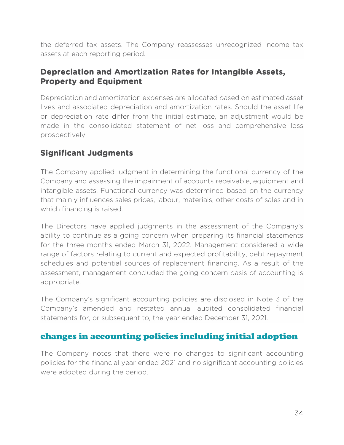the deferred tax assets. The Company reassesses unrecognized income tax assets at each reporting period.

## **Depreciation and Amortization Rates for Intangible Assets, Property and Equipment**

Depreciation and amortization expenses are allocated based on estimated asset lives and associated depreciation and amortization rates. Should the asset life or depreciation rate differ from the initial estimate, an adjustment would be made in the consolidated statement of net loss and comprehensive loss prospectively.

# **Significant Judgments**

The Company applied judgment in determining the functional currency of the Company and assessing the impairment of accounts receivable, equipment and intangible assets. Functional currency was determined based on the currency that mainly influences sales prices, labour, materials, other costs of sales and in which financing is raised.

The Directors have applied judgments in the assessment of the Company's ability to continue as a going concern when preparing its financial statements for the three months ended March 31, 2022. Management considered a wide range of factors relating to current and expected profitability, debt repayment schedules and potential sources of replacement financing. As a result of the assessment, management concluded the going concern basis of accounting is appropriate.

The Company's significant accounting policies are disclosed in Note 3 of the Company's amended and restated annual audited consolidated financial statements for, or subsequent to, the year ended December 31, 2021.

## changes in accounting policies including initial adoption

The Company notes that there were no changes to significant accounting policies for the financial year ended 2021 and no significant accounting policies were adopted during the period.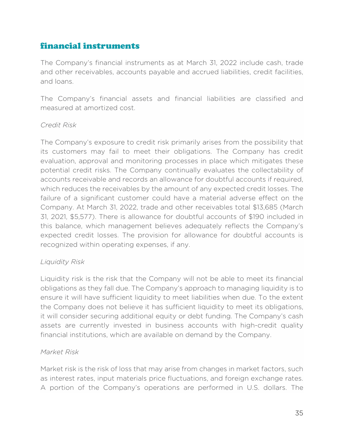# financial instruments

The Company's financial instruments as at March 31, 2022 include cash, trade and other receivables, accounts payable and accrued liabilities, credit facilities, and loans.

The Company's financial assets and financial liabilities are classified and measured at amortized cost.

#### *Credit Risk*

The Company's exposure to credit risk primarily arises from the possibility that its customers may fail to meet their obligations. The Company has credit evaluation, approval and monitoring processes in place which mitigates these potential credit risks. The Company continually evaluates the collectability of accounts receivable and records an allowance for doubtful accounts if required, which reduces the receivables by the amount of any expected credit losses. The failure of a significant customer could have a material adverse effect on the Company. At March 31, 2022, trade and other receivables total \$13,685 (March 31, 2021, \$5,577). There is allowance for doubtful accounts of \$190 included in this balance, which management believes adequately reflects the Company's expected credit losses. The provision for allowance for doubtful accounts is recognized within operating expenses, if any.

#### *Liquidity Risk*

Liquidity risk is the risk that the Company will not be able to meet its financial obligations as they fall due. The Company's approach to managing liquidity is to ensure it will have sufficient liquidity to meet liabilities when due. To the extent the Company does not believe it has sufficient liquidity to meet its obligations, it will consider securing additional equity or debt funding. The Company's cash assets are currently invested in business accounts with high-credit quality financial institutions, which are available on demand by the Company.

#### *Market Risk*

Market risk is the risk of loss that may arise from changes in market factors, such as interest rates, input materials price fluctuations, and foreign exchange rates. A portion of the Company's operations are performed in U.S. dollars. The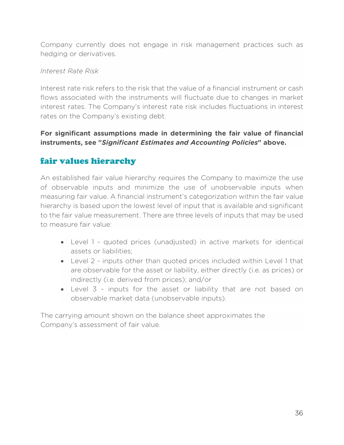Company currently does not engage in risk management practices such as hedging or derivatives.

#### *Interest Rate Risk*

Interest rate risk refers to the risk that the value of a financial instrument or cash flows associated with the instruments will fluctuate due to changes in market interest rates. The Company's interest rate risk includes fluctuations in interest rates on the Company's existing debt.

#### **For significant assumptions made in determining the fair value of financial instruments, see "***Significant Estimates and Accounting Policies***" above.**

# fair values hierarchy

An established fair value hierarchy requires the Company to maximize the use of observable inputs and minimize the use of unobservable inputs when measuring fair value. A financial instrument's categorization within the fair value hierarchy is based upon the lowest level of input that is available and significant to the fair value measurement. There are three levels of inputs that may be used to measure fair value:

- Level 1 quoted prices (unadjusted) in active markets for identical assets or liabilities;
- Level 2 inputs other than quoted prices included within Level 1 that are observable for the asset or liability, either directly (i.e. as prices) or indirectly (i.e. derived from prices); and/or
- Level 3 inputs for the asset or liability that are not based on observable market data (unobservable inputs).

The carrying amount shown on the balance sheet approximates the Company's assessment of fair value.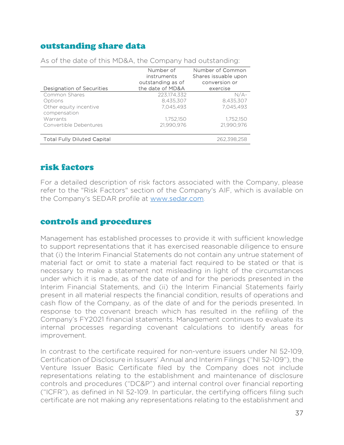## outstanding share data

| Designation of Securities              | Number of<br>instruments<br>outstanding as of<br>the date of MD&A | Number of Common<br>Shares issuable upon<br>conversion or<br>exercise |
|----------------------------------------|-------------------------------------------------------------------|-----------------------------------------------------------------------|
| Common Shares                          | 223.174.332                                                       | $N/A-$                                                                |
| Options                                | 8,435,307                                                         | 8,435,307                                                             |
| Other equity incentive<br>compensation | 7,045,493                                                         | 7.045.493                                                             |
| Warrants                               | 1,752,150                                                         | 1,752,150                                                             |
| Convertible Debentures                 | 21,990,976                                                        | 21.990.976                                                            |
| <b>Total Fully Diluted Capital</b>     |                                                                   | 262,398,258                                                           |

As of the date of this MD&A, the Company had outstanding:

## risk factors

For a detailed description of risk factors associated with the Company, please refer to the "Risk Factors" section of the Company's AIF, which is available on the Company's SEDAR profile at www.sedar.com.

#### controls and procedures

Management has established processes to provide it with sufficient knowledge to support representations that it has exercised reasonable diligence to ensure that (i) the Interim Financial Statements do not contain any untrue statement of material fact or omit to state a material fact required to be stated or that is necessary to make a statement not misleading in light of the circumstances under which it is made, as of the date of and for the periods presented in the Interim Financial Statements, and (ii) the Interim Financial Statements fairly present in all material respects the financial condition, results of operations and cash flow of the Company, as of the date of and for the periods presented. In response to the covenant breach which has resulted in the refiling of the Company's FY2021 financial statements. Management continues to evaluate its internal processes regarding covenant calculations to identify areas for improvement.

In contrast to the certificate required for non-venture issuers under NI 52-109, Certification of Disclosure in Issuers' Annual and Interim Filings ("NI 52-109"), the Venture Issuer Basic Certificate filed by the Company does not include representations relating to the establishment and maintenance of disclosure controls and procedures ("DC&P") and internal control over financial reporting ("ICFR"), as defined in NI 52-109. In particular, the certifying officers filing such certificate are not making any representations relating to the establishment and